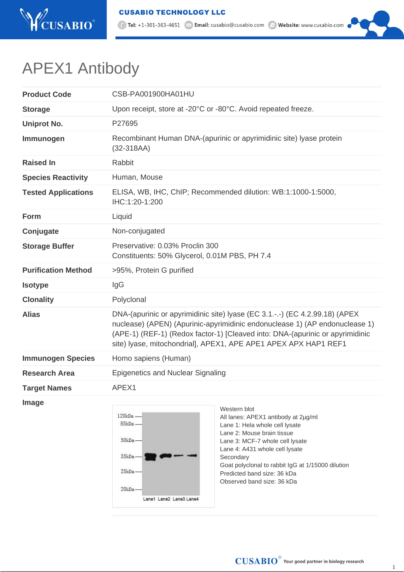

1 Tel: +1-301-363-4651 <br>
Mehsite: www.cusabio.com

## APEX1 Antibody

| <b>Product Code</b>        | CSB-PA001900HA01HU                                                                                                                                                                                                                                                                                             |                                                                                                                                                                                                                                                                                                                         |
|----------------------------|----------------------------------------------------------------------------------------------------------------------------------------------------------------------------------------------------------------------------------------------------------------------------------------------------------------|-------------------------------------------------------------------------------------------------------------------------------------------------------------------------------------------------------------------------------------------------------------------------------------------------------------------------|
| <b>Storage</b>             | Upon receipt, store at -20°C or -80°C. Avoid repeated freeze.                                                                                                                                                                                                                                                  |                                                                                                                                                                                                                                                                                                                         |
| <b>Uniprot No.</b>         | P27695                                                                                                                                                                                                                                                                                                         |                                                                                                                                                                                                                                                                                                                         |
| Immunogen                  | Recombinant Human DNA-(apurinic or apyrimidinic site) Iyase protein<br>$(32-318AA)$                                                                                                                                                                                                                            |                                                                                                                                                                                                                                                                                                                         |
| <b>Raised In</b>           | Rabbit                                                                                                                                                                                                                                                                                                         |                                                                                                                                                                                                                                                                                                                         |
| <b>Species Reactivity</b>  | Human, Mouse                                                                                                                                                                                                                                                                                                   |                                                                                                                                                                                                                                                                                                                         |
| <b>Tested Applications</b> | ELISA, WB, IHC, ChIP; Recommended dilution: WB:1:1000-1:5000,<br>IHC:1:20-1:200                                                                                                                                                                                                                                |                                                                                                                                                                                                                                                                                                                         |
| Form                       | Liquid                                                                                                                                                                                                                                                                                                         |                                                                                                                                                                                                                                                                                                                         |
| Conjugate                  | Non-conjugated                                                                                                                                                                                                                                                                                                 |                                                                                                                                                                                                                                                                                                                         |
| <b>Storage Buffer</b>      | Preservative: 0.03% Proclin 300<br>Constituents: 50% Glycerol, 0.01M PBS, PH 7.4                                                                                                                                                                                                                               |                                                                                                                                                                                                                                                                                                                         |
| <b>Purification Method</b> | >95%, Protein G purified                                                                                                                                                                                                                                                                                       |                                                                                                                                                                                                                                                                                                                         |
| <b>Isotype</b>             | lgG                                                                                                                                                                                                                                                                                                            |                                                                                                                                                                                                                                                                                                                         |
| <b>Clonality</b>           | Polyclonal                                                                                                                                                                                                                                                                                                     |                                                                                                                                                                                                                                                                                                                         |
| <b>Alias</b>               | DNA-(apurinic or apyrimidinic site) Iyase (EC 3.1.-.-) (EC 4.2.99.18) (APEX<br>nuclease) (APEN) (Apurinic-apyrimidinic endonuclease 1) (AP endonuclease 1)<br>(APE-1) (REF-1) (Redox factor-1) [Cleaved into: DNA-(apurinic or apyrimidinic<br>site) Iyase, mitochondrial], APEX1, APE APE1 APEX APX HAP1 REF1 |                                                                                                                                                                                                                                                                                                                         |
| <b>Immunogen Species</b>   | Homo sapiens (Human)                                                                                                                                                                                                                                                                                           |                                                                                                                                                                                                                                                                                                                         |
| <b>Research Area</b>       | <b>Epigenetics and Nuclear Signaling</b>                                                                                                                                                                                                                                                                       |                                                                                                                                                                                                                                                                                                                         |
| <b>Target Names</b>        | APEX1                                                                                                                                                                                                                                                                                                          |                                                                                                                                                                                                                                                                                                                         |
| <b>Image</b>               | 120kDa-<br>85kDa-<br>$50kDa -$<br>35kDa-<br>25kDa-<br>20kDa-<br>Lane1 Lane2 Lane3 Lane4                                                                                                                                                                                                                        | Western blot<br>All lanes: APEX1 antibody at 2µg/ml<br>Lane 1: Hela whole cell lysate<br>Lane 2: Mouse brain tissue<br>Lane 3: MCF-7 whole cell lysate<br>Lane 4: A431 whole cell lysate<br>Secondary<br>Goat polyclonal to rabbit IgG at 1/15000 dilution<br>Predicted band size: 36 kDa<br>Observed band size: 36 kDa |

1